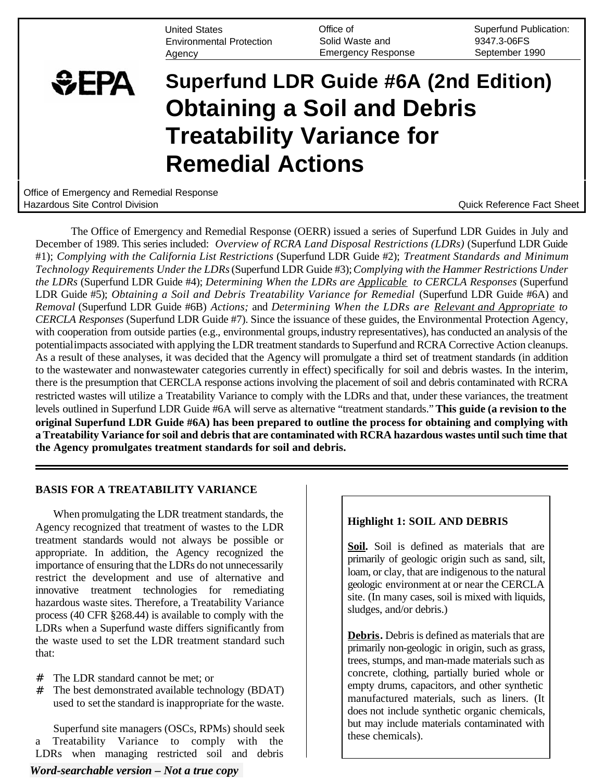United States **Contact Contract Contract Contract Contract Contract Contract Contract Contract Contract Contract Contract Contract Contract Contract Contract Contract Contract Contract Contract Contract Contract Contract C** Environmental Protection Solid Waste and 9347.3-06FS Agency **Emergency Response** September 1990

# **SEPA Superfund LDR Guide #6A (2nd Edition) Obtaining a Soil and Debris Treatability Variance for Remedial Actions**

Office of Emergency and Remedial Response Hazardous Site Control Division Quick Reference Fact Sheet

The Office of Emergency and Remedial Response (OERR) issued a series of Superfund LDR Guides in July and December of 1989. This series included: *Overview of RCRA Land Disposal Restrictions (LDRs)* (Superfund LDR Guide #1); *Complying with the California List Restrictions* (Superfund LDR Guide #2); *Treatment Standards and Minimum Technology Requirements Under the LDRs* (Superfund LDR Guide #3); *Complying with the Hammer Restrictions Under the LDRs* (Superfund LDR Guide #4); *Determining When the LDRs are Applicable to CERCLA Responses* (Superfund LDR Guide #5); *Obtaining a Soil and Debris Treatability Variance for Remedial* (Superfund LDR Guide #6A) and *Removal* (Superfund LDR Guide #6B) *Actions;* and *Determining When the LDRs are Relevant and Appropriate to CERCLA Responses* (Superfund LDR Guide #7). Since the issuance of these guides, the Environmental Protection Agency, with cooperation from outside parties (e.g., environmental groups, industry representatives), has conducted an analysis of the potentialimpacts associated with applying the LDR treatment standards to Superfund and RCRA Corrective Action cleanups. As a result of these analyses, it was decided that the Agency will promulgate a third set of treatment standards (in addition to the wastewater and nonwastewater categories currently in effect) specifically for soil and debris wastes. In the interim, there is the presumption that CERCLA response actions involving the placement of soil and debris contaminated with RCRA restricted wastes will utilize a Treatability Variance to comply with the LDRs and that, under these variances, the treatment levels outlined in Superfund LDR Guide #6A will serve as alternative "treatment standards." **This guide (a revision to the original Superfund LDR Guide #6A) has been prepared to outline the process for obtaining and complying with a Treatability Variance for soil and debris that are contaminated with RCRA hazardous wastes until such time that the Agency promulgates treatment standards for soil and debris.** 

## **BASIS FOR A TREATABILITY VARIANCE**

When promulgating the LDR treatment standards, the Agency recognized that treatment of wastes to the LDR treatment standards would not always be possible or appropriate. In addition, the Agency recognized the importance of ensuring that the LDRs do not unnecessarily restrict the development and use of alternative and innovative treatment technologies for remediating hazardous waste sites. Therefore, a Treatability Variance process (40 CFR §268.44) is available to comply with the LDRs when a Superfund waste differs significantly from the waste used to set the LDR treatment standard such that:

- # The LDR standard cannot be met; or
- # The best demonstrated available technology (BDAT) used to set the standard is inappropriate for the waste.

Superfund site managers (OSCs, RPMs) should seek a Treatability Variance to comply with the LDRs when managing restricted soil and debris

## *Word-searchable version – Not a true copy*

# **Highlight 1: SOIL AND DEBRIS**

**Soil.** Soil is defined as materials that are primarily of geologic origin such as sand, silt, loam, or clay, that are indigenous to the natural geologic environment at or near the CERCLA site. (In many cases, soil is mixed with liquids, sludges, and/or debris.)

**Debris.** Debris is defined as materials that are primarily non-geologic in origin, such as grass, trees, stumps, and man-made materials such as concrete, clothing, partially buried whole or empty drums, capacitors, and other synthetic manufactured materials, such as liners. (It does not include synthetic organic chemicals, but may include materials contaminated with these chemicals).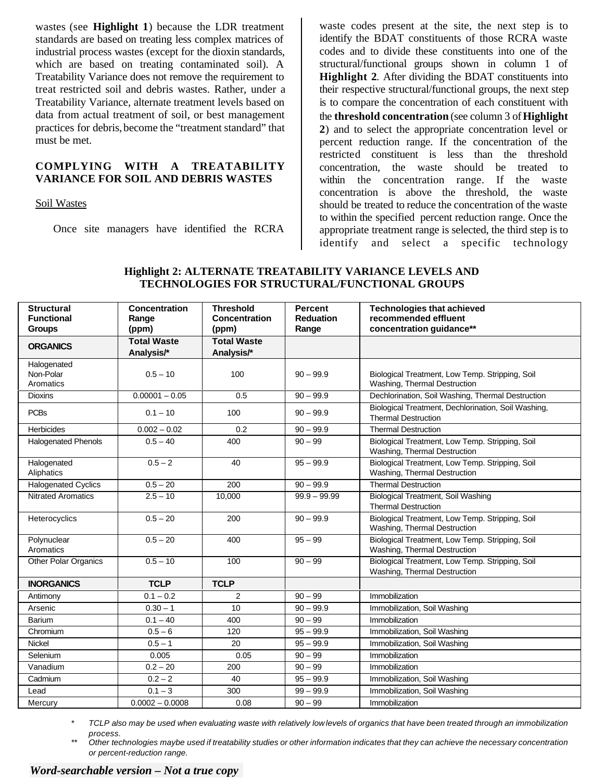wastes (see **Highlight 1**) because the LDR treatment standards are based on treating less complex matrices of industrial process wastes (except for the dioxin standards, which are based on treating contaminated soil). A Treatability Variance does not remove the requirement to treat restricted soil and debris wastes. Rather, under a Treatability Variance, alternate treatment levels based on data from actual treatment of soil, or best management practices for debris, become the "treatment standard" that must be met.

## **COMPLYING WITH A TREATABILITY VARIANCE FOR SOIL AND DEBRIS WASTES**

Soil Wastes

Once site managers have identified the RCRA

waste codes present at the site, the next step is to identify the BDAT constituents of those RCRA waste codes and to divide these constituents into one of the structural/functional groups shown in column 1 of **Highlight 2**. After dividing the BDAT constituents into their respective structural/functional groups, the next step is to compare the concentration of each constituent with the **threshold concentration** (see column 3 of **Highlight 2**) and to select the appropriate concentration level or percent reduction range. If the concentration of the restricted constituent is less than the threshold concentration, the waste should be treated to within the concentration range. If the waste concentration is above the threshold, the waste should be treated to reduce the concentration of the waste to within the specified percent reduction range. Once the appropriate treatment range is selected, the third step is to identify and select a specific technology

| <b>Structural</b><br><b>Functional</b> | Concentration<br>Range           | <b>Threshold</b><br>Concentration | <b>Percent</b><br><b>Reduation</b> | <b>Technologies that achieved</b><br>recommended effluent                         |
|----------------------------------------|----------------------------------|-----------------------------------|------------------------------------|-----------------------------------------------------------------------------------|
| <b>Groups</b>                          | (ppm)                            | (ppm)                             | Range                              | concentration guidance**                                                          |
| <b>ORGANICS</b>                        | <b>Total Waste</b><br>Analysis/* | <b>Total Waste</b><br>Analysis/*  |                                    |                                                                                   |
| Halogenated<br>Non-Polar<br>Aromatics  | $0.5 - 10$                       | 100                               | $90 - 99.9$                        | Biological Treatment, Low Temp. Stripping, Soil<br>Washing, Thermal Destruction   |
| <b>Dioxins</b>                         | $0.00001 - 0.05$                 | 0.5                               | $90 - 99.9$                        | Dechlorination, Soil Washing, Thermal Destruction                                 |
| <b>PCBs</b>                            | $0.1 - 10$                       | 100                               | $90 - 99.9$                        | Biological Treatment, Dechlorination, Soil Washing,<br><b>Thermal Destruction</b> |
| <b>Herbicides</b>                      | $0.002 - 0.02$                   | 0.2                               | $90 - 99.9$                        | <b>Thermal Destruction</b>                                                        |
| <b>Halogenated Phenols</b>             | $0.5 - 40$                       | 400                               | $90 - 99$                          | Biological Treatment, Low Temp. Stripping, Soil<br>Washing, Thermal Destruction   |
| Halogenated<br>Aliphatics              | $0.5 - 2$                        | 40                                | $95 - 99.9$                        | Biological Treatment, Low Temp. Stripping, Soil<br>Washing, Thermal Destruction   |
| <b>Halogenated Cyclics</b>             | $0.5 - 20$                       | 200                               | $90 - 99.9$                        | <b>Thermal Destruction</b>                                                        |
| <b>Nitrated Aromatics</b>              | $2.5 - 10$                       | 10,000                            | $99.9 - 99.99$                     | <b>Biological Treatment, Soil Washing</b><br><b>Thermal Destruction</b>           |
| Heterocyclics                          | $0.5 - 20$                       | 200                               | $90 - 99.9$                        | Biological Treatment, Low Temp. Stripping, Soil<br>Washing, Thermal Destruction   |
| Polynuclear<br>Aromatics               | $0.5 - 20$                       | 400                               | $95 - 99$                          | Biological Treatment, Low Temp. Stripping, Soil<br>Washing, Thermal Destruction   |
| <b>Other Polar Organics</b>            | $0.5 - 10$                       | 100                               | $90 - 99$                          | Biological Treatment, Low Temp. Stripping, Soil<br>Washing, Thermal Destruction   |
| <b>INORGANICS</b>                      | <b>TCLP</b>                      | <b>TCLP</b>                       |                                    |                                                                                   |
| Antimony                               | $0.1 - 0.2$                      | 2                                 | $90 - 99$                          | Immobilization                                                                    |
| Arsenic                                | $0.30 - 1$                       | 10                                | $90 - 99.9$                        | Immobilization, Soil Washing                                                      |
| <b>Barium</b>                          | $0.1 - 40$                       | 400                               | $90 - 99$                          | Immobilization                                                                    |
| Chromium                               | $0.5 - 6$                        | 120                               | $95 - 99.9$                        | Immobilization, Soil Washing                                                      |
| Nickel                                 | $0.5 - 1$                        | 20                                | $95 - 99.9$                        | Immobilization, Soil Washing                                                      |
| Selenium                               | 0.005                            | 0.05                              | $90 - 99$                          | Immobilization                                                                    |
| Vanadium                               | $0.2 - 20$                       | 200                               | $90 - 99$                          | Immobilization                                                                    |
| Cadmium                                | $0.2 - 2$                        | 40                                | $95 - 99.9$                        | Immobilization, Soil Washing                                                      |
| Lead                                   | $0.1 - 3$                        | 300                               | $99 - 99.9$                        | Immobilization, Soil Washing                                                      |
| Mercury                                | $0.0002 - 0.0008$                | 0.08                              | $90 - 99$                          | Immobilization                                                                    |

## **Highlight 2: ALTERNATE TREATABILITY VARIANCE LEVELS AND TECHNOLOGIES FOR STRUCTURAL/FUNCTIONAL GROUPS**

*\* TCLP also may be used when evaluating waste with relatively low levels of organics that have been treated through an immobilization process.* 

*\*\* Other technologies maybe used if treatability studies or other information indicates that they can achieve the necessary concentration or percent-reduction range.*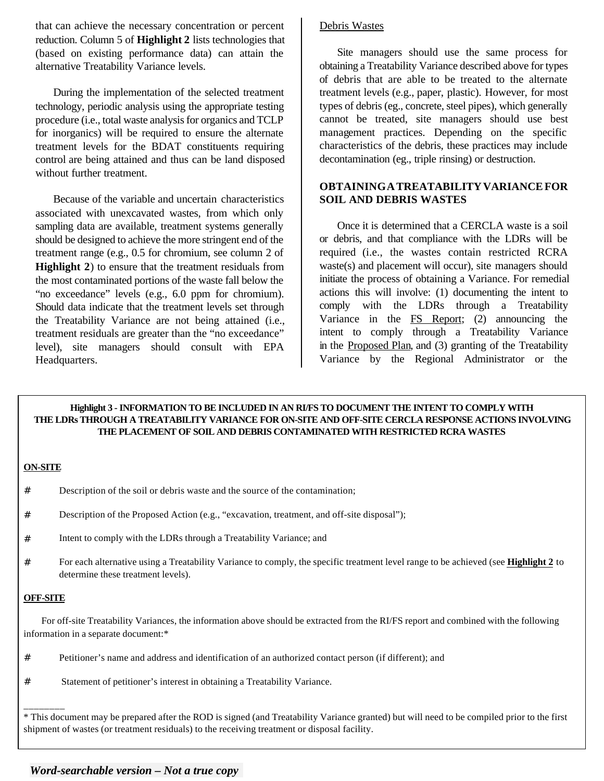that can achieve the necessary concentration or percent reduction. Column 5 of **Highlight 2** lists technologies that (based on existing performance data) can attain the alternative Treatability Variance levels.

During the implementation of the selected treatment technology, periodic analysis using the appropriate testing procedure (i.e., total waste analysis for organics and TCLP for inorganics) will be required to ensure the alternate treatment levels for the BDAT constituents requiring control are being attained and thus can be land disposed without further treatment.

Because of the variable and uncertain characteristics associated with unexcavated wastes, from which only sampling data are available, treatment systems generally should be designed to achieve the more stringent end of the treatment range (e.g., 0.5 for chromium, see column 2 of **Highlight 2**) to ensure that the treatment residuals from the most contaminated portions of the waste fall below the "no exceedance" levels (e.g., 6.0 ppm for chromium). Should data indicate that the treatment levels set through the Treatability Variance are not being attained (i.e., treatment residuals are greater than the "no exceedance" level), site managers should consult with EPA Headquarters.

# Debris Wastes

Site managers should use the same process for obtaining a Treatability Variance described above for types of debris that are able to be treated to the alternate treatment levels (e.g., paper, plastic). However, for most types of debris (eg., concrete, steel pipes), which generally cannot be treated, site managers should use best management practices. Depending on the specific characteristics of the debris, these practices may include decontamination (eg., triple rinsing) or destruction.

# **OBTAINING A TREATABILITY VARIANCE FOR SOIL AND DEBRIS WASTES**

Once it is determined that a CERCLA waste is a soil or debris, and that compliance with the LDRs will be required (i.e., the wastes contain restricted RCRA waste(s) and placement will occur), site managers should initiate the process of obtaining a Variance. For remedial actions this will involve: (1) documenting the intent to comply with the LDRs through a Treatability Variance in the **FS** Report; (2) announcing the intent to comply through a Treatability Variance in the Proposed Plan, and (3) granting of the Treatability Variance by the Regional Administrator or the

**Highlight 3 - INFORMATION TO BE INCLUDED IN AN RI/FS TO DOCUMENT THE INTENT TO COMPLY WITH THE LDRs THROUGH A TREATABILITY VARIANCE FOR ON-SITE AND OFF-SITE CERCLA RESPONSE ACTIONS INVOLVING THE PLACEMENT OF SOIL AND DEBRIS CONTAMINATED WITH RESTRICTED RCRA WASTES**

## **ON-SITE**

- # Description of the soil or debris waste and the source of the contamination;
- # Description of the Proposed Action (e.g., "excavation, treatment, and off-site disposal");
- # Intent to comply with the LDRs through a Treatability Variance; and
- # For each alternative using a Treatability Variance to comply, the specific treatment level range to be achieved (see **Highlight 2** to determine these treatment levels).

### **OFF-SITE**

\_\_\_\_\_\_\_\_

For off-site Treatability Variances, the information above should be extracted from the RI/FS report and combined with the following information in a separate document:\*

- # Petitioner's name and address and identification of an authorized contact person (if different); and
- # Statement of petitioner's interest in obtaining a Treatability Variance.

\* This document may be prepared after the ROD is signed (and Treatability Variance granted) but will need to be compiled prior to the first shipment of wastes (or treatment residuals) to the receiving treatment or disposal facility.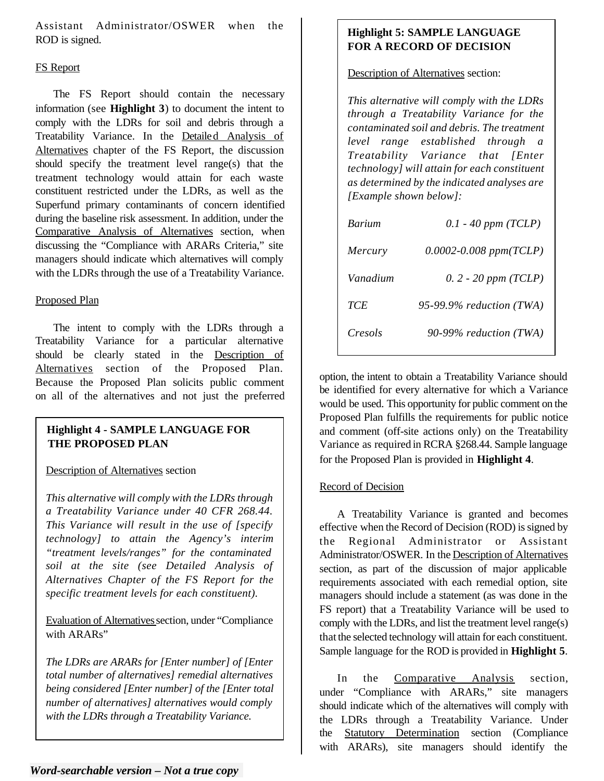Assistant Administrator/OSWER when the ROD is signed.

# FS Report

The FS Report should contain the necessary information (see **Highlight 3**) to document the intent to comply with the LDRs for soil and debris through a Treatability Variance. In the Detailed Analysis of Alternatives chapter of the FS Report, the discussion should specify the treatment level range(s) that the treatment technology would attain for each waste constituent restricted under the LDRs, as well as the Superfund primary contaminants of concern identified during the baseline risk assessment. In addition, under the Comparative Analysis of Alternatives section, when discussing the "Compliance with ARARs Criteria," site managers should indicate which alternatives will comply with the LDRs through the use of a Treatability Variance.

## Proposed Plan

The intent to comply with the LDRs through a Treatability Variance for a particular alternative should be clearly stated in the Description of Alternatives section of the Proposed Plan. Because the Proposed Plan solicits public comment on all of the alternatives and not just the preferred

# **Highlight 4 - SAMPLE LANGUAGE FOR THE PROPOSED PLAN**

## Description of Alternatives section

*This alternative will comply with the LDRs through a Treatability Variance under 40 CFR 268.44. This Variance will result in the use of [specify technology] to attain the Agency's interim "treatment levels/ranges" for the contaminated soil at the site (see Detailed Analysis of Alternatives Chapter of the FS Report for the specific treatment levels for each constituent).* 

Evaluation of Alternatives section, under "Compliance with ARARs"

*The LDRs are ARARs for [Enter number] of [Enter total number of alternatives] remedial alternatives being considered [Enter number] of the [Enter total number of alternatives] alternatives would comply with the LDRs through a Treatability Variance.* 

# **Highlight 5: SAMPLE LANGUAGE FOR A RECORD OF DECISION**

Description of Alternatives section:

*This alternative will comply with the LDRs through a Treatability Variance for the contaminated soil and debris. The treatment level range established through a Treatability Variance that [Enter technology] will attain for each constituent as determined by the indicated analyses are [Example shown below]:* 

| <b>Barium</b> | $0.1 - 40$ ppm (TCLP)      |
|---------------|----------------------------|
| Mercury       | $0.0002 - 0.008$ ppm(TCLP) |
| Vanadium      | $0.2 - 20$ ppm (TCLP)      |
| TCE           | 95-99.9% reduction $(TWA)$ |
| Cresols       | 90-99% reduction (TWA)     |

option, the intent to obtain a Treatability Variance should be identified for every alternative for which a Variance would be used. This opportunity for public comment on the Proposed Plan fulfills the requirements for public notice and comment (off-site actions only) on the Treatability Variance as required in RCRA §268.44. Sample language for the Proposed Plan is provided in **Highlight 4**.

# **Record of Decision**

A Treatability Variance is granted and becomes effective when the Record of Decision (ROD) is signed by the Regional Administrator or Assistant Administrator/OSWER. In the Description of Alternatives section, as part of the discussion of major applicable requirements associated with each remedial option, site managers should include a statement (as was done in the FS report) that a Treatability Variance will be used to comply with the LDRs, and list the treatment level range(s) that the selected technology will attain for each constituent. Sample language for the ROD is provided in **Highlight 5**.

In the Comparative Analysis section, under "Compliance with ARARs," site managers should indicate which of the alternatives will comply with the LDRs through a Treatability Variance. Under the Statutory Determination section (Compliance with ARARs), site managers should identify the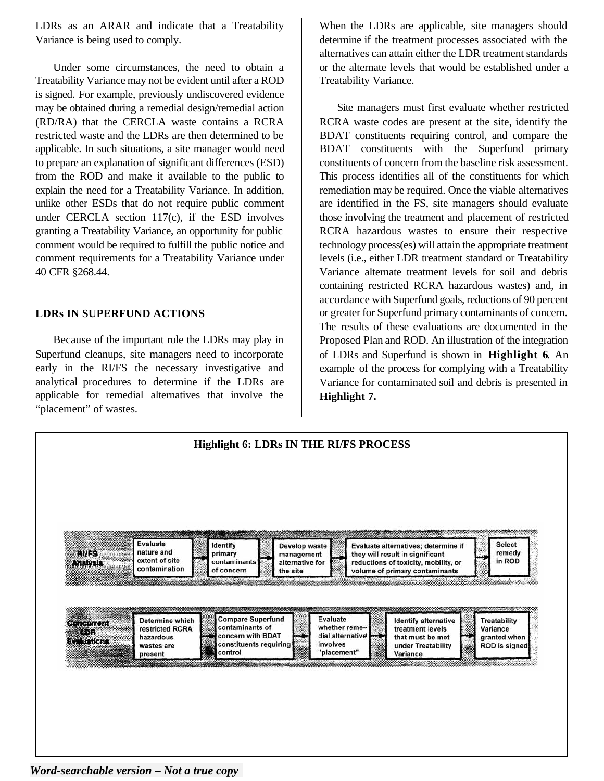LDRs as an ARAR and indicate that a Treatability Variance is being used to comply.

Under some circumstances, the need to obtain a Treatability Variance may not be evident until after a ROD is signed. For example, previously undiscovered evidence may be obtained during a remedial design/remedial action (RD/RA) that the CERCLA waste contains a RCRA restricted waste and the LDRs are then determined to be applicable. In such situations, a site manager would need to prepare an explanation of significant differences (ESD) from the ROD and make it available to the public to explain the need for a Treatability Variance. In addition, unlike other ESDs that do not require public comment under CERCLA section 117(c), if the ESD involves granting a Treatability Variance, an opportunity for public comment would be required to fulfill the public notice and comment requirements for a Treatability Variance under 40 CFR §268.44.

# **LDRs IN SUPERFUND ACTIONS**

Because of the important role the LDRs may play in Superfund cleanups, site managers need to incorporate early in the RI/FS the necessary investigative and analytical procedures to determine if the LDRs are applicable for remedial alternatives that involve the "placement" of wastes.

When the LDRs are applicable, site managers should determine if the treatment processes associated with the alternatives can attain either the LDR treatment standards or the alternate levels that would be established under a Treatability Variance.

Site managers must first evaluate whether restricted RCRA waste codes are present at the site, identify the BDAT constituents requiring control, and compare the BDAT constituents with the Superfund primary constituents of concern from the baseline risk assessment. This process identifies all of the constituents for which remediation may be required. Once the viable alternatives are identified in the FS, site managers should evaluate those involving the treatment and placement of restricted RCRA hazardous wastes to ensure their respective technology process(es) will attain the appropriate treatment levels (i.e., either LDR treatment standard or Treatability Variance alternate treatment levels for soil and debris containing restricted RCRA hazardous wastes) and, in accordance with Superfund goals, reductions of 90 percent or greater for Superfund primary contaminants of concern. The results of these evaluations are documented in the Proposed Plan and ROD. An illustration of the integration of LDRs and Superfund is shown in **Highlight 6**. An example of the process for complying with a Treatability Variance for contaminated soil and debris is presented in **Highlight 7.** 



*Word-searchable version – Not a true copy*